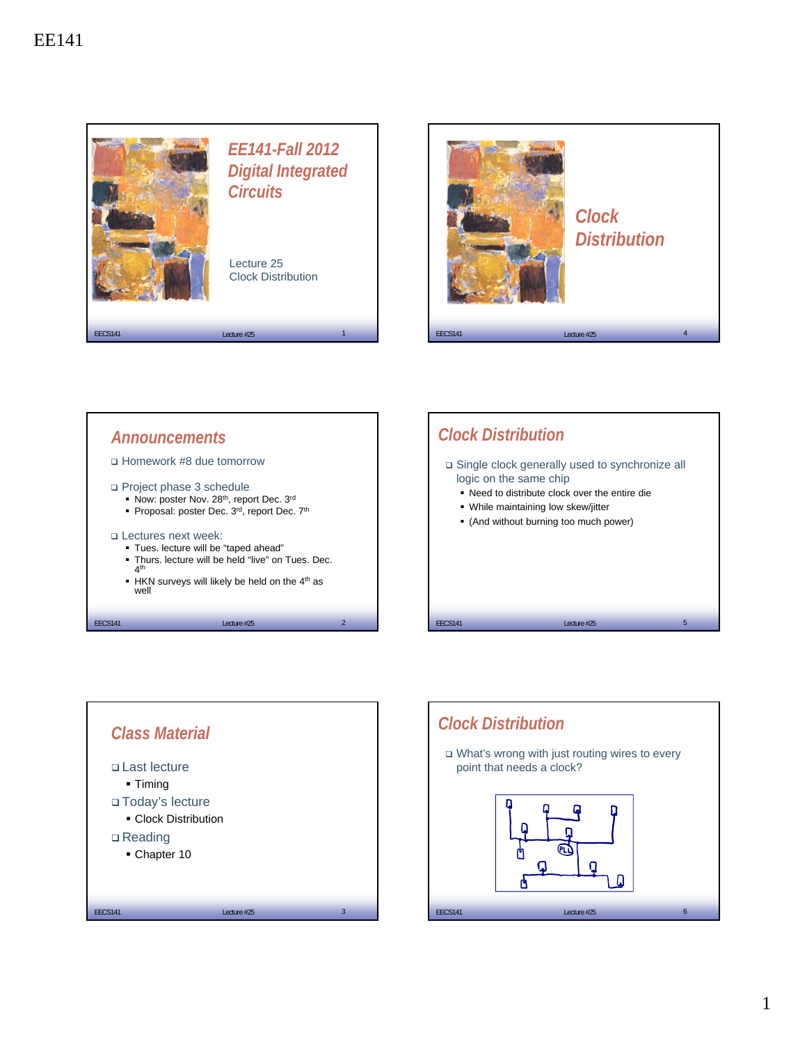







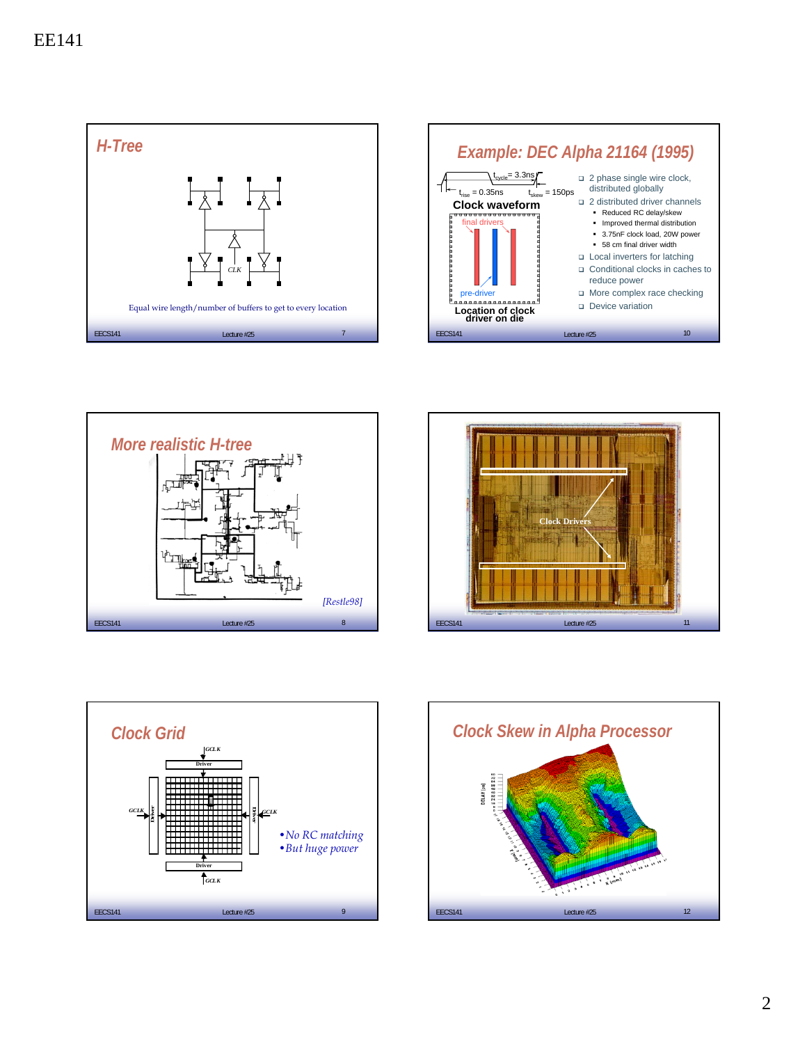